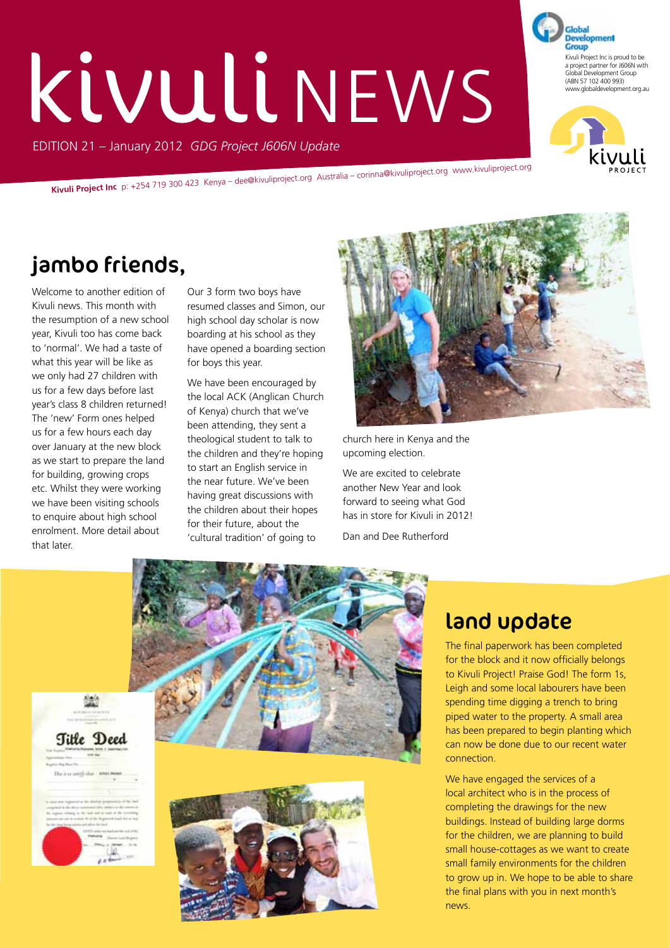# EDITION 21 – January 2012 *GDG Project J606N Update* KIVULINEWS

**Kivuli Project Inc** p: +254 719 300 423 Kenya – dee@kivuliproject.org Australia – corinna@kivuliproject.org www.kivuliproject.org

## jambo friends,

Welcome to another edition of Kivuli news. This month with the resumption of a new school year, Kivuli too has come back to 'normal'. We had a taste of what this year will be like as we only had 27 children with us for a few days before last year's class 8 children returned! The 'new' Form ones helped us for a few hours each day over January at the new block as we start to prepare the land for building, growing crops etc. Whilst they were working we have been visiting schools to enquire about high school enrolment. More detail about that later.

Our 3 form two boys have resumed classes and Simon, our high school day scholar is now boarding at his school as they have opened a boarding section for boys this year.

We have been encouraged by the local ACK (Anglican Church of Kenya) church that we've been attending, they sent a theological student to talk to the children and they're hoping to start an English service in the near future. We've been having great discussions with the children about their hopes for their future, about the 'cultural tradition' of going to



Kivuli Project Inc is proud to be a project partner for J606N with Global Development Group (ABN 57 102 400 993) www.globaldevelopment.org.au

**Development** Group

church here in Kenya and the upcoming election.

We are excited to celebrate another New Year and look forward to seeing what God has in store for Kivuli in 2012!

Dan and Dee Rutherford



#### land update

The final paperwork has been completed for the block and it now officially belongs to Kivuli Project! Praise God! The form 1s, Leigh and some local labourers have been spending time digging a trench to bring piped water to the property. A small area has been prepared to begin planting which can now be done due to our recent water connection.

We have engaged the services of a local architect who is in the process of completing the drawings for the new buildings. Instead of building large dorms for the children, we are planning to build small house-cottages as we want to create small family environments for the children to grow up in. We hope to be able to share the final plans with you in next month's news.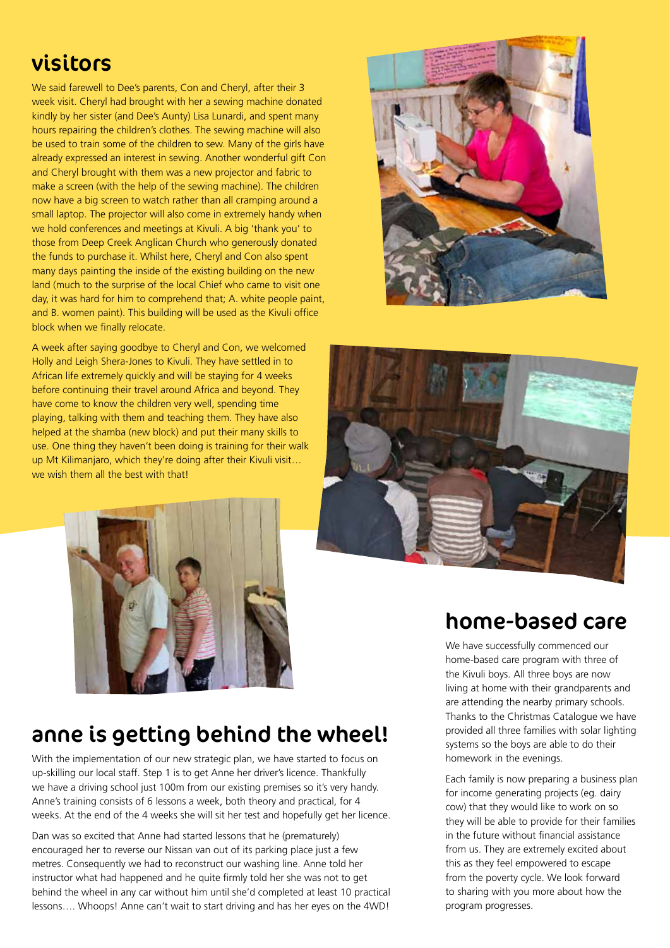#### visitors

We said farewell to Dee's parents, Con and Cheryl, after their 3 week visit. Cheryl had brought with her a sewing machine donated kindly by her sister (and Dee's Aunty) Lisa Lunardi, and spent many hours repairing the children's clothes. The sewing machine will also be used to train some of the children to sew. Many of the girls have already expressed an interest in sewing. Another wonderful gift Con and Cheryl brought with them was a new projector and fabric to make a screen (with the help of the sewing machine). The children now have a big screen to watch rather than all cramping around a small laptop. The projector will also come in extremely handy when we hold conferences and meetings at Kivuli. A big 'thank you' to those from Deep Creek Anglican Church who generously donated the funds to purchase it. Whilst here, Cheryl and Con also spent many days painting the inside of the existing building on the new land (much to the surprise of the local Chief who came to visit one day, it was hard for him to comprehend that; A. white people paint, and B. women paint). This building will be used as the Kivuli office block when we finally relocate.

A week after saying goodbye to Cheryl and Con, we welcomed Holly and Leigh Shera-Jones to Kivuli. They have settled in to African life extremely quickly and will be staying for 4 weeks before continuing their travel around Africa and beyond. They have come to know the children very well, spending time playing, talking with them and teaching them. They have also helped at the shamba (new block) and put their many skills to use. One thing they haven't been doing is training for their walk up Mt Kilimanjaro, which they're doing after their Kivuli visit… we wish them all the best with that!







#### home-based care We have successfully commenced our

home-based care program with three of the Kivuli boys. All three boys are now living at home with their grandparents and are attending the nearby primary schools. Thanks to the Christmas Catalogue we have provided all three families with solar lighting systems so the boys are able to do their homework in the evenings.

Each family is now preparing a business plan for income generating projects (eg. dairy cow) that they would like to work on so they will be able to provide for their families in the future without financial assistance from us. They are extremely excited about this as they feel empowered to escape from the poverty cycle. We look forward to sharing with you more about how the program progresses.

## anne is getting behind the wheel!

With the implementation of our new strategic plan, we have started to focus on up-skilling our local staff. Step 1 is to get Anne her driver's licence. Thankfully we have a driving school just 100m from our existing premises so it's very handy. Anne's training consists of 6 lessons a week, both theory and practical, for 4 weeks. At the end of the 4 weeks she will sit her test and hopefully get her licence.

Dan was so excited that Anne had started lessons that he (prematurely) encouraged her to reverse our Nissan van out of its parking place just a few metres. Consequently we had to reconstruct our washing line. Anne told her instructor what had happened and he quite firmly told her she was not to get behind the wheel in any car without him until she'd completed at least 10 practical lessons…. Whoops! Anne can't wait to start driving and has her eyes on the 4WD!